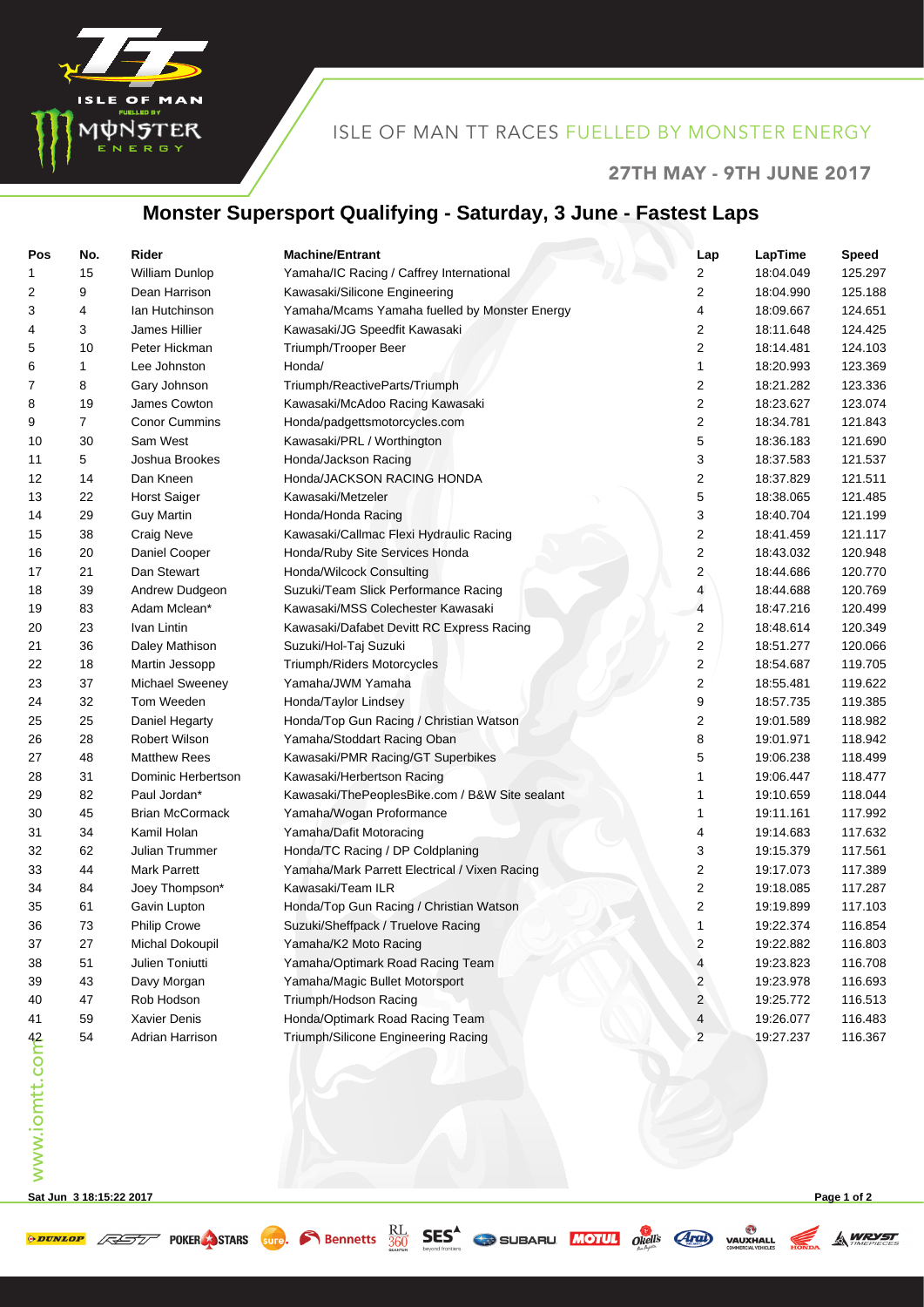

## ISLE OF MAN TT RACES FUELLED BY MONSTER ENERGY

#### 27TH MAY - 9TH JUNE 2017

## **Monster Supersport Qualifying - Saturday, 3 June - Fastest Laps**

| Pos            | No. | Rider                  | <b>Machine/Entrant</b>                         | Lap                     | LapTime   | <b>Speed</b> |
|----------------|-----|------------------------|------------------------------------------------|-------------------------|-----------|--------------|
| 1              | 15  | William Dunlop         | Yamaha/IC Racing / Caffrey International       | 2                       | 18:04.049 | 125.297      |
| 2              | 9   | Dean Harrison          | Kawasaki/Silicone Engineering                  | 2                       | 18:04.990 | 125.188      |
| 3              | 4   | lan Hutchinson         | Yamaha/Mcams Yamaha fuelled by Monster Energy  | 4                       | 18:09.667 | 124.651      |
| 4              | 3   | James Hillier          | Kawasaki/JG Speedfit Kawasaki                  | 2                       | 18:11.648 | 124.425      |
| 5              | 10  | Peter Hickman          | Triumph/Trooper Beer                           | 2                       | 18:14.481 | 124.103      |
| 6              | 1   | Lee Johnston           | Honda/                                         | 1                       | 18:20.993 | 123.369      |
| 7              | 8   | Gary Johnson           | Triumph/ReactiveParts/Triumph                  | 2                       | 18:21.282 | 123.336      |
| 8              | 19  | James Cowton           | Kawasaki/McAdoo Racing Kawasaki                | 2                       | 18:23.627 | 123.074      |
| 9              | 7   | <b>Conor Cummins</b>   | Honda/padgettsmotorcycles.com                  | 2                       | 18:34.781 | 121.843      |
| 10             | 30  | Sam West               | Kawasaki/PRL / Worthington                     | 5                       | 18:36.183 | 121.690      |
| 11             | 5   | Joshua Brookes         | Honda/Jackson Racing                           | 3                       | 18:37.583 | 121.537      |
| 12             | 14  | Dan Kneen              | Honda/JACKSON RACING HONDA                     | 2                       | 18:37.829 | 121.511      |
| 13             | 22  | <b>Horst Saiger</b>    | Kawasaki/Metzeler                              | 5                       | 18:38.065 | 121.485      |
| 14             | 29  | <b>Guy Martin</b>      | Honda/Honda Racing                             | 3                       | 18:40.704 | 121.199      |
| 15             | 38  | <b>Craig Neve</b>      | Kawasaki/Callmac Flexi Hydraulic Racing        | 2                       | 18:41.459 | 121.117      |
| 16             | 20  | Daniel Cooper          | Honda/Ruby Site Services Honda                 | 2                       | 18:43.032 | 120.948      |
| 17             | 21  | Dan Stewart            | Honda/Wilcock Consulting                       | 2                       | 18:44.686 | 120.770      |
| 18             | 39  | Andrew Dudgeon         | Suzuki/Team Slick Performance Racing           | 4                       | 18:44.688 | 120.769      |
| 19             | 83  | Adam Mclean*           | Kawasaki/MSS Colechester Kawasaki              | $\overline{4}$          | 18:47.216 | 120.499      |
| 20             | 23  | Ivan Lintin            | Kawasaki/Dafabet Devitt RC Express Racing      | 2                       | 18:48.614 | 120.349      |
| 21             | 36  | Daley Mathison         | Suzuki/Hol-Taj Suzuki                          | 2                       | 18:51.277 | 120.066      |
| 22             | 18  | Martin Jessopp         | Triumph/Riders Motorcycles                     | 2                       | 18:54.687 | 119.705      |
| 23             | 37  | Michael Sweeney        | Yamaha/JWM Yamaha                              | $\overline{\mathbf{c}}$ | 18:55.481 | 119.622      |
| 24             | 32  | Tom Weeden             | Honda/Taylor Lindsey                           | 9                       | 18:57.735 | 119.385      |
| 25             | 25  | Daniel Hegarty         | Honda/Top Gun Racing / Christian Watson        | 2                       | 19:01.589 | 118.982      |
| 26             | 28  | <b>Robert Wilson</b>   | Yamaha/Stoddart Racing Oban                    | 8                       | 19:01.971 | 118.942      |
| 27             | 48  | <b>Matthew Rees</b>    | Kawasaki/PMR Racing/GT Superbikes              | 5                       | 19:06.238 | 118.499      |
| 28             | 31  | Dominic Herbertson     | Kawasaki/Herbertson Racing                     | 1                       | 19:06.447 | 118.477      |
| 29             | 82  | Paul Jordan*           | Kawasaki/ThePeoplesBike.com / B&W Site sealant | 1                       | 19:10.659 | 118.044      |
| 30             | 45  | <b>Brian McCormack</b> | Yamaha/Wogan Proformance                       | 1                       | 19:11.161 | 117.992      |
| 31             | 34  | Kamil Holan            | Yamaha/Dafit Motoracing                        | 4                       | 19:14.683 | 117.632      |
| 32             | 62  | Julian Trummer         | Honda/TC Racing / DP Coldplaning               | 3                       | 19:15.379 | 117.561      |
| 33             | 44  | <b>Mark Parrett</b>    | Yamaha/Mark Parrett Electrical / Vixen Racing  | 2                       | 19:17.073 | 117.389      |
| 34             | 84  | Joey Thompson*         | Kawasaki/Team ILR                              | 2                       | 19:18.085 | 117.287      |
| 35             | 61  | Gavin Lupton           | Honda/Top Gun Racing / Christian Watson        | 2                       | 19:19.899 | 117.103      |
| 36             | 73  | <b>Philip Crowe</b>    | Suzuki/Sheffpack / Truelove Racing             | 1                       | 19:22.374 | 116.854      |
| 37             | 27  | Michal Dokoupil        | Yamaha/K2 Moto Racing                          | 2                       | 19:22.882 | 116.803      |
| 38             | 51  | Julien Toniutti        | Yamaha/Optimark Road Racing Team               | 4                       | 19:23.823 | 116.708      |
| 39             | 43  | Davy Morgan            | Yamaha/Magic Bullet Motorsport                 | 2                       | 19:23.978 | 116.693      |
| 40             | 47  | Rob Hodson             | Triumph/Hodson Racing                          | $\overline{c}$          | 19:25.772 | 116.513      |
| 41             | 59  | Xavier Denis           | Honda/Optimark Road Racing Team                | 4                       | 19:26.077 | 116.483      |
|                | 54  | Adrian Harrison        | Triumph/Silicone Engineering Racing            | $\overline{c}$          | 19:27.237 | 116.367      |
| www.iomtt.comb |     |                        |                                                |                         |           |              |
|                |     |                        |                                                |                         |           |              |
|                |     |                        |                                                |                         |           |              |
|                |     |                        |                                                |                         |           |              |
|                |     |                        |                                                |                         |           |              |
|                |     |                        |                                                |                         |           |              |
|                |     |                        |                                                |                         |           |              |

**Sat Jun 3 18:15:22 2017 Page 1 of 2**

**A WRYST**